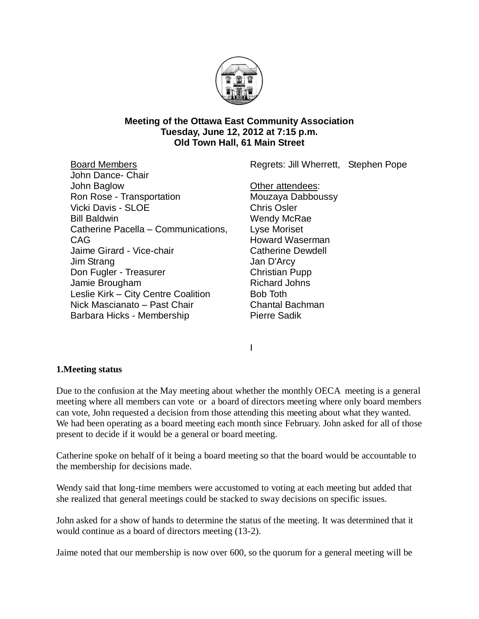

### **Meeting of the Ottawa East Community Association Tuesday, June 12, 2012 at 7:15 p.m. Old Town Hall, 61 Main Street**

Regrets: Jill Wherrett, Stephen Pope

Board Members John Dance- Chair John Baglow Ron Rose - Transportation Vicki Davis - SLOE Bill Baldwin Catherine Pacella – Communications, CAG Jaime Girard - Vice-chair Jim Strang Don Fugler - Treasurer Jamie Brougham Leslie Kirk – City Centre Coalition Nick Mascianato – Past Chair Barbara Hicks - Membership

Other attendees: Mouzaya Dabboussy Chris Osler Wendy McRae Lyse Moriset Howard Waserman Catherine Dewdell Jan D'Arcy Christian Pupp Richard Johns Bob Toth Chantal Bachman Pierre Sadik

I

## **1.Meeting status**

Due to the confusion at the May meeting about whether the monthly OECA meeting is a general meeting where all members can vote or a board of directors meeting where only board members can vote, John requested a decision from those attending this meeting about what they wanted. We had been operating as a board meeting each month since February. John asked for all of those present to decide if it would be a general or board meeting.

Catherine spoke on behalf of it being a board meeting so that the board would be accountable to the membership for decisions made.

Wendy said that long-time members were accustomed to voting at each meeting but added that she realized that general meetings could be stacked to sway decisions on specific issues.

John asked for a show of hands to determine the status of the meeting. It was determined that it would continue as a board of directors meeting (13-2).

Jaime noted that our membership is now over 600, so the quorum for a general meeting will be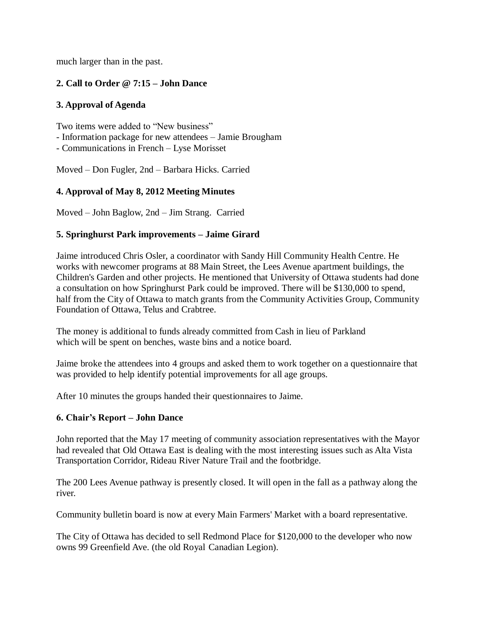much larger than in the past.

# **2. Call to Order @ 7:15 – John Dance**

# **3. Approval of Agenda**

Two items were added to "New business" - Information package for new attendees – Jamie Brougham - Communications in French – Lyse Morisset

Moved – Don Fugler, 2nd – Barbara Hicks. Carried

# **4. Approval of May 8, 2012 Meeting Minutes**

Moved – John Baglow, 2nd – Jim Strang. Carried

# **5. Springhurst Park improvements – Jaime Girard**

Jaime introduced Chris Osler, a coordinator with Sandy Hill Community Health Centre. He works with newcomer programs at 88 Main Street, the Lees Avenue apartment buildings, the Children's Garden and other projects. He mentioned that University of Ottawa students had done a consultation on how Springhurst Park could be improved. There will be \$130,000 to spend, half from the City of Ottawa to match grants from the Community Activities Group, Community Foundation of Ottawa, Telus and Crabtree.

The money is additional to funds already committed from Cash in lieu of Parkland which will be spent on benches, waste bins and a notice board.

Jaime broke the attendees into 4 groups and asked them to work together on a questionnaire that was provided to help identify potential improvements for all age groups.

After 10 minutes the groups handed their questionnaires to Jaime.

## **6. Chair's Report – John Dance**

John reported that the May 17 meeting of community association representatives with the Mayor had revealed that Old Ottawa East is dealing with the most interesting issues such as Alta Vista Transportation Corridor, Rideau River Nature Trail and the footbridge.

The 200 Lees Avenue pathway is presently closed. It will open in the fall as a pathway along the river.

Community bulletin board is now at every Main Farmers' Market with a board representative.

The City of Ottawa has decided to sell Redmond Place for \$120,000 to the developer who now owns 99 Greenfield Ave. (the old Royal Canadian Legion).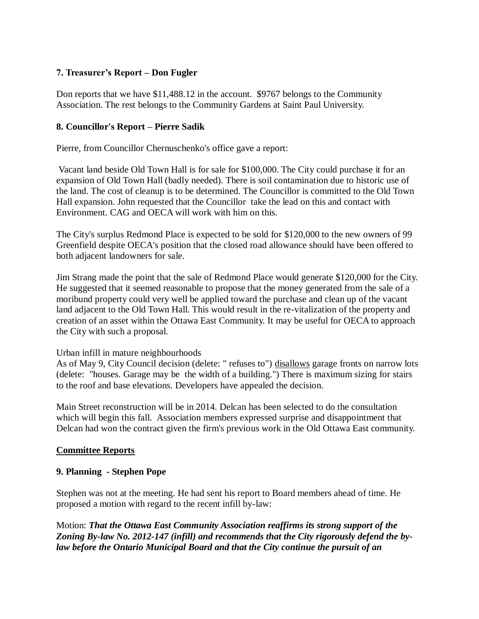# **7. Treasurer's Report – Don Fugler**

Don reports that we have \$11,488.12 in the account. \$9767 belongs to the Community Association. The rest belongs to the Community Gardens at Saint Paul University.

### **8. Councillor's Report – Pierre Sadik**

Pierre, from Councillor Chernuschenko's office gave a report:

Vacant land beside Old Town Hall is for sale for \$100,000. The City could purchase it for an expansion of Old Town Hall (badly needed). There is soil contamination due to historic use of the land. The cost of cleanup is to be determined. The Councillor is committed to the Old Town Hall expansion. John requested that the Councillor take the lead on this and contact with Environment. CAG and OECA will work with him on this.

The City's surplus Redmond Place is expected to be sold for \$120,000 to the new owners of 99 Greenfield despite OECA's position that the closed road allowance should have been offered to both adjacent landowners for sale.

Jim Strang made the point that the sale of Redmond Place would generate \$120,000 for the City. He suggested that it seemed reasonable to propose that the money generated from the sale of a moribund property could very well be applied toward the purchase and clean up of the vacant land adjacent to the Old Town Hall. This would result in the re-vitalization of the property and creation of an asset within the Ottawa East Community. It may be useful for OECA to approach the City with such a proposal.

#### Urban infill in mature neighbourhoods

As of May 9, City Council decision (delete: " refuses to") disallows garage fronts on narrow lots (delete: "houses. Garage may be the width of a building.") There is maximum sizing for stairs to the roof and base elevations. Developers have appealed the decision.

Main Street reconstruction will be in 2014. Delcan has been selected to do the consultation which will begin this fall. Association members expressed surprise and disappointment that Delcan had won the contract given the firm's previous work in the Old Ottawa East community.

#### **Committee Reports**

#### **9. Planning - Stephen Pope**

Stephen was not at the meeting. He had sent his report to Board members ahead of time. He proposed a motion with regard to the recent infill by-law:

Motion: *That the Ottawa East Community Association reaffirms its strong support of the Zoning By-law No. 2012-147 (infill) and recommends that the City rigorously defend the bylaw before the Ontario Municipal Board and that the City continue the pursuit of an*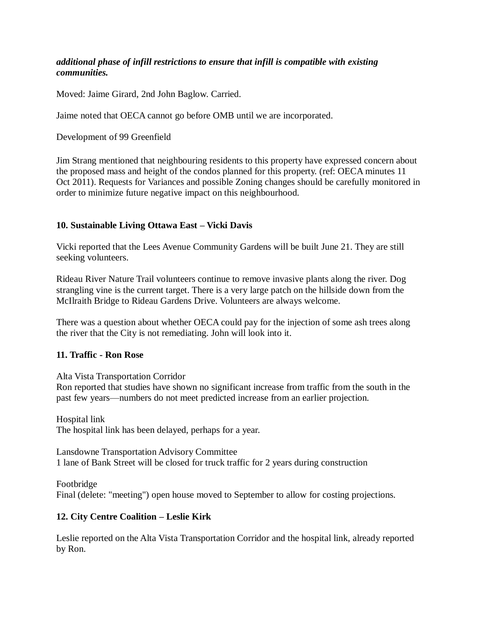## *additional phase of infill restrictions to ensure that infill is compatible with existing communities.*

Moved: Jaime Girard, 2nd John Baglow. Carried.

Jaime noted that OECA cannot go before OMB until we are incorporated.

Development of 99 Greenfield

Jim Strang mentioned that neighbouring residents to this property have expressed concern about the proposed mass and height of the condos planned for this property. (ref: OECA minutes 11 Oct 2011). Requests for Variances and possible Zoning changes should be carefully monitored in order to minimize future negative impact on this neighbourhood.

## **10. Sustainable Living Ottawa East – Vicki Davis**

Vicki reported that the Lees Avenue Community Gardens will be built June 21. They are still seeking volunteers.

Rideau River Nature Trail volunteers continue to remove invasive plants along the river. Dog strangling vine is the current target. There is a very large patch on the hillside down from the McIlraith Bridge to Rideau Gardens Drive. Volunteers are always welcome.

There was a question about whether OECA could pay for the injection of some ash trees along the river that the City is not remediating. John will look into it.

#### **11. Traffic - Ron Rose**

Alta Vista Transportation Corridor

Ron reported that studies have shown no significant increase from traffic from the south in the past few years—numbers do not meet predicted increase from an earlier projection.

Hospital link The hospital link has been delayed, perhaps for a year.

Lansdowne Transportation Advisory Committee 1 lane of Bank Street will be closed for truck traffic for 2 years during construction

Footbridge Final (delete: "meeting") open house moved to September to allow for costing projections.

#### **12. City Centre Coalition – Leslie Kirk**

Leslie reported on the Alta Vista Transportation Corridor and the hospital link, already reported by Ron.